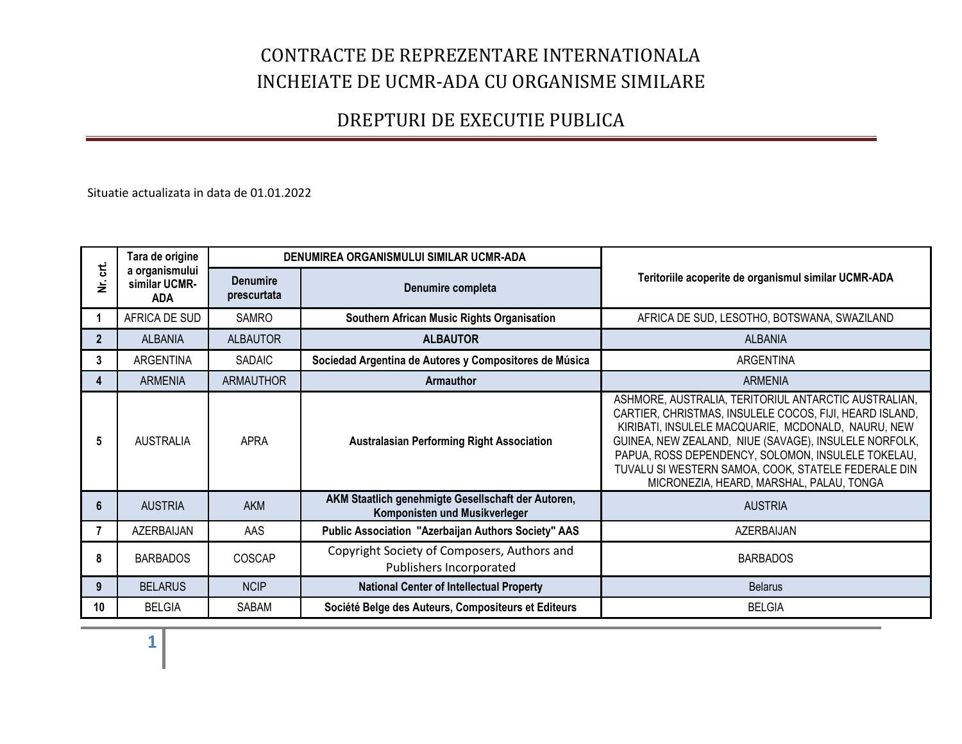### DREPTURI DE EXECUTIE PUBLICA

Situatie actualizata in data de 01.01.2022

| ಕ<br>ž         | Tara de origine<br>a organismului<br>similar UCMR-<br><b>ADA</b> | DENUMIREA ORGANISMULUI SIMILAR UCMR-ADA |                                                                                     |                                                                                                                                                                                                                                                                                                                                                                                         |
|----------------|------------------------------------------------------------------|-----------------------------------------|-------------------------------------------------------------------------------------|-----------------------------------------------------------------------------------------------------------------------------------------------------------------------------------------------------------------------------------------------------------------------------------------------------------------------------------------------------------------------------------------|
|                |                                                                  | <b>Denumire</b><br>prescurtata          | Denumire completa                                                                   | Teritoriile acoperite de organismul similar UCMR-ADA                                                                                                                                                                                                                                                                                                                                    |
|                | AFRICA DE SUD                                                    | <b>SAMRO</b>                            | Southern African Music Rights Organisation                                          | AFRICA DE SUD, LESOTHO, BOTSWANA, SWAZILAND                                                                                                                                                                                                                                                                                                                                             |
| $\overline{2}$ | <b>ALBANIA</b>                                                   | <b>ALBAUTOR</b>                         | <b>ALBAUTOR</b>                                                                     | <b>ALBANIA</b>                                                                                                                                                                                                                                                                                                                                                                          |
| 3              | <b>ARGENTINA</b>                                                 | <b>SADAIC</b>                           | Sociedad Argentina de Autores y Compositores de Música                              | ARGENTINA                                                                                                                                                                                                                                                                                                                                                                               |
| 4              | <b>ARMENIA</b>                                                   | <b>ARMAUTHOR</b>                        | Armauthor                                                                           | <b>ARMENIA</b>                                                                                                                                                                                                                                                                                                                                                                          |
| 5              | <b>AUSTRALIA</b>                                                 | <b>APRA</b>                             | <b>Australasian Performing Right Association</b>                                    | ASHMORE, AUSTRALIA, TERITORIUL ANTARCTIC AUSTRALIAN,<br>CARTIER, CHRISTMAS, INSULELE COCOS, FIJI, HEARD ISLAND,<br>KIRIBATI, INSULELE MACQUARIE, MCDONALD, NAURU, NEW<br>GUINEA, NEW ZEALAND, NIUE (SAVAGE), INSULELE NORFOLK,<br>PAPUA, ROSS DEPENDENCY, SOLOMON, INSULELE TOKELAU,<br>TUVALU SI WESTERN SAMOA, COOK, STATELE FEDERALE DIN<br>MICRONEZIA, HEARD, MARSHAL, PALAU, TONGA |
| 6              | <b>AUSTRIA</b>                                                   | <b>AKM</b>                              | AKM Staatlich genehmigte Gesellschaft der Autoren,<br>Komponisten und Musikverleger | <b>AUSTRIA</b>                                                                                                                                                                                                                                                                                                                                                                          |
| 7              | AZERBAIJAN                                                       | AAS                                     | <b>Public Association "Azerbaijan Authors Society" AAS</b>                          | AZERBAIJAN                                                                                                                                                                                                                                                                                                                                                                              |
| 8              | <b>BARBADOS</b>                                                  | COSCAP                                  | Copyright Society of Composers, Authors and<br>Publishers Incorporated              | <b>BARBADOS</b>                                                                                                                                                                                                                                                                                                                                                                         |
| 9              | <b>BELARUS</b>                                                   | <b>NCIP</b>                             | <b>National Center of Intellectual Property</b>                                     | <b>Belarus</b>                                                                                                                                                                                                                                                                                                                                                                          |
| 10             | <b>BELGIA</b>                                                    | SABAM                                   | Société Belge des Auteurs, Compositeurs et Editeurs                                 | <b>BELGIA</b>                                                                                                                                                                                                                                                                                                                                                                           |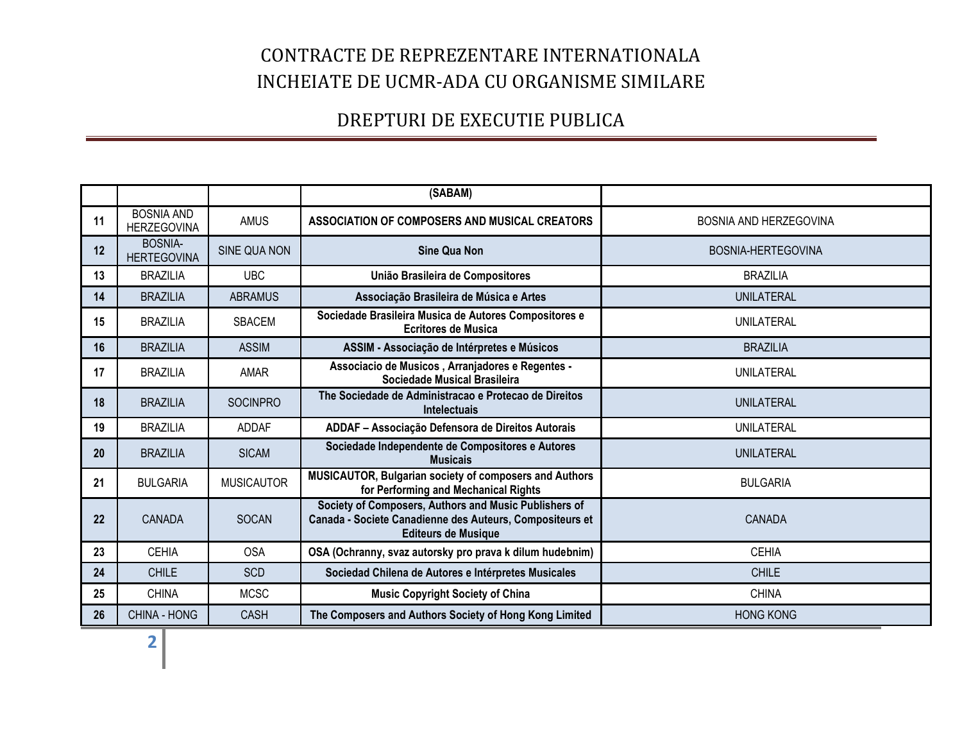|    |                                         |                   | (SABAM)                                                                                                                                         |                        |
|----|-----------------------------------------|-------------------|-------------------------------------------------------------------------------------------------------------------------------------------------|------------------------|
| 11 | <b>BOSNIA AND</b><br><b>HERZEGOVINA</b> | <b>AMUS</b>       | ASSOCIATION OF COMPOSERS AND MUSICAL CREATORS                                                                                                   | BOSNIA AND HERZEGOVINA |
| 12 | <b>BOSNIA-</b><br><b>HERTEGOVINA</b>    | SINE QUA NON      | <b>Sine Qua Non</b>                                                                                                                             | BOSNIA-HERTEGOVINA     |
| 13 | <b>BRAZILIA</b>                         | <b>UBC</b>        | União Brasileira de Compositores                                                                                                                | <b>BRAZILIA</b>        |
| 14 | <b>BRAZILIA</b>                         | <b>ABRAMUS</b>    | Associação Brasileira de Música e Artes                                                                                                         | <b>UNILATERAL</b>      |
| 15 | <b>BRAZILIA</b>                         | <b>SBACEM</b>     | Sociedade Brasileira Musica de Autores Compositores e<br><b>Ecritores de Musica</b>                                                             | UNILATERAL             |
| 16 | <b>BRAZILIA</b>                         | <b>ASSIM</b>      | ASSIM - Associação de Intérpretes e Músicos                                                                                                     | <b>BRAZILIA</b>        |
| 17 | <b>BRAZILIA</b>                         | <b>AMAR</b>       | Associacio de Musicos, Arranjadores e Regentes -<br>Sociedade Musical Brasileira                                                                | UNILATERAL             |
| 18 | <b>BRAZILIA</b>                         | <b>SOCINPRO</b>   | The Sociedade de Administracao e Protecao de Direitos<br><b>Intelectuais</b>                                                                    | <b>UNILATERAL</b>      |
| 19 | <b>BRAZILIA</b>                         | <b>ADDAF</b>      | ADDAF - Associação Defensora de Direitos Autorais                                                                                               | UNILATERAL             |
| 20 | <b>BRAZILIA</b>                         | <b>SICAM</b>      | Sociedade Independente de Compositores e Autores<br><b>Musicais</b>                                                                             | <b>UNILATERAL</b>      |
| 21 | <b>BULGARIA</b>                         | <b>MUSICAUTOR</b> | MUSICAUTOR, Bulgarian society of composers and Authors<br>for Performing and Mechanical Rights                                                  | <b>BULGARIA</b>        |
| 22 | <b>CANADA</b>                           | <b>SOCAN</b>      | Society of Composers, Authors and Music Publishers of<br>Canada - Societe Canadienne des Auteurs, Compositeurs et<br><b>Editeurs de Musique</b> | CANADA                 |
| 23 | <b>CEHIA</b>                            | <b>OSA</b>        | OSA (Ochranny, svaz autorsky pro prava k dilum hudebnim)                                                                                        | <b>CEHIA</b>           |
| 24 | <b>CHILE</b>                            | <b>SCD</b>        | Sociedad Chilena de Autores e Intérpretes Musicales                                                                                             | <b>CHILE</b>           |
| 25 | <b>CHINA</b>                            | <b>MCSC</b>       | <b>Music Copyright Society of China</b>                                                                                                         | <b>CHINA</b>           |
| 26 | CHINA - HONG                            | <b>CASH</b>       | The Composers and Authors Society of Hong Kong Limited                                                                                          | <b>HONG KONG</b>       |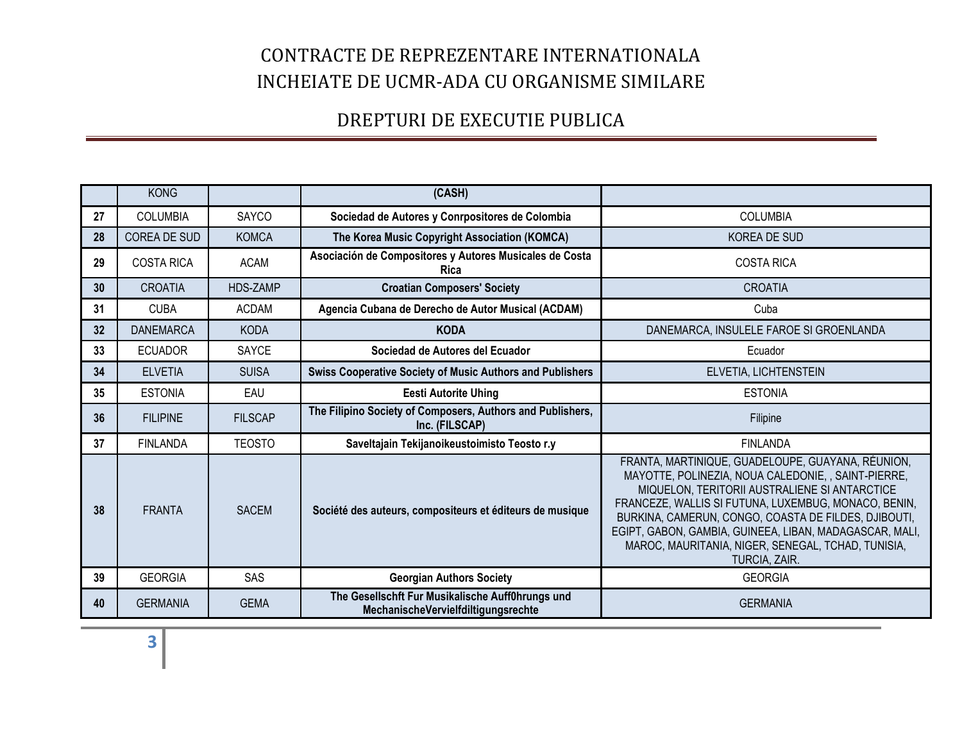|    | <b>KONG</b>       |                 | (CASH)                                                                                  |                                                                                                                                                                                                                                                                                                                                                                                                             |
|----|-------------------|-----------------|-----------------------------------------------------------------------------------------|-------------------------------------------------------------------------------------------------------------------------------------------------------------------------------------------------------------------------------------------------------------------------------------------------------------------------------------------------------------------------------------------------------------|
| 27 | <b>COLUMBIA</b>   | <b>SAYCO</b>    | Sociedad de Autores y Conrpositores de Colombia                                         | <b>COLUMBIA</b>                                                                                                                                                                                                                                                                                                                                                                                             |
| 28 | COREA DE SUD      | <b>KOMCA</b>    | The Korea Music Copyright Association (KOMCA)                                           | <b>KOREA DE SUD</b>                                                                                                                                                                                                                                                                                                                                                                                         |
| 29 | <b>COSTA RICA</b> | <b>ACAM</b>     | Asociación de Compositores y Autores Musicales de Costa<br><b>Rica</b>                  | <b>COSTA RICA</b>                                                                                                                                                                                                                                                                                                                                                                                           |
| 30 | <b>CROATIA</b>    | <b>HDS-ZAMP</b> | <b>Croatian Composers' Society</b>                                                      | <b>CROATIA</b>                                                                                                                                                                                                                                                                                                                                                                                              |
| 31 | <b>CUBA</b>       | <b>ACDAM</b>    | Agencia Cubana de Derecho de Autor Musical (ACDAM)                                      | Cuba                                                                                                                                                                                                                                                                                                                                                                                                        |
| 32 | <b>DANEMARCA</b>  | <b>KODA</b>     | <b>KODA</b>                                                                             | DANEMARCA, INSULELE FAROE SI GROENLANDA                                                                                                                                                                                                                                                                                                                                                                     |
| 33 | <b>ECUADOR</b>    | SAYCE           | Sociedad de Autores del Ecuador                                                         | Ecuador                                                                                                                                                                                                                                                                                                                                                                                                     |
| 34 | <b>ELVETIA</b>    | <b>SUISA</b>    | <b>Swiss Cooperative Society of Music Authors and Publishers</b>                        | ELVETIA, LICHTENSTEIN                                                                                                                                                                                                                                                                                                                                                                                       |
| 35 | <b>ESTONIA</b>    | EAU             | <b>Eesti Autorite Uhing</b>                                                             | <b>ESTONIA</b>                                                                                                                                                                                                                                                                                                                                                                                              |
| 36 | <b>FILIPINE</b>   | <b>FILSCAP</b>  | The Filipino Society of Composers, Authors and Publishers,<br>Inc. (FILSCAP)            | Filipine                                                                                                                                                                                                                                                                                                                                                                                                    |
| 37 | <b>FINLANDA</b>   | <b>TEOSTO</b>   | Saveltajain Tekijanoikeustoimisto Teosto r.y                                            | <b>FINLANDA</b>                                                                                                                                                                                                                                                                                                                                                                                             |
| 38 | <b>FRANTA</b>     | <b>SACEM</b>    | Société des auteurs, compositeurs et éditeurs de musique                                | FRANTA, MARTINIQUE, GUADELOUPE, GUAYANA, RÉUNION,<br>MAYOTTE, POLINEZIA, NOUA CALEDONIE, , SAINT-PIERRE,<br>MIQUELON, TERITORII AUSTRALIENE SI ANTARCTICE<br>FRANCEZE, WALLIS SI FUTUNA, LUXEMBUG, MONACO, BENIN,<br>BURKINA, CAMERUN, CONGO, COASTA DE FILDES, DJIBOUTI,<br>EGIPT, GABON, GAMBIA, GUINEEA, LIBAN, MADAGASCAR, MALI,<br>MAROC, MAURITANIA, NIGER, SENEGAL, TCHAD, TUNISIA,<br>TURCIA, ZAIR. |
| 39 | <b>GEORGIA</b>    | SAS             | <b>Georgian Authors Society</b>                                                         | <b>GEORGIA</b>                                                                                                                                                                                                                                                                                                                                                                                              |
| 40 | <b>GERMANIA</b>   | <b>GEMA</b>     | The Gesellschft Fur Musikalische Auff0hrungs und<br>MechanischeVervielfdiltigungsrechte | <b>GERMANIA</b>                                                                                                                                                                                                                                                                                                                                                                                             |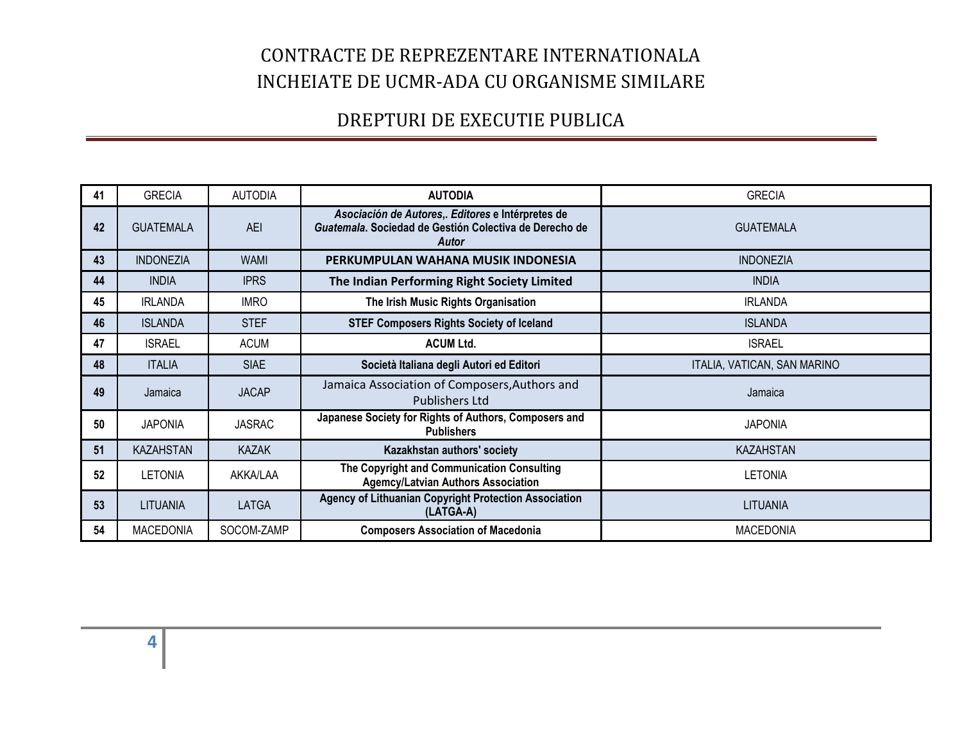| 41 | <b>GRECIA</b>    | <b>AUTODIA</b> | <b>AUTODIA</b>                                                                                                       | <b>GRECIA</b>               |
|----|------------------|----------------|----------------------------------------------------------------------------------------------------------------------|-----------------------------|
| 42 | <b>GUATEMALA</b> | <b>AEI</b>     | Asociación de Autores,. Editores e Intérpretes de<br>Guatemala. Sociedad de Gestión Colectiva de Derecho de<br>Autor | <b>GUATEMALA</b>            |
| 43 | <b>INDONEZIA</b> | <b>WAMI</b>    | PERKUMPULAN WAHANA MUSIK INDONESIA                                                                                   | <b>INDONEZIA</b>            |
| 44 | <b>INDIA</b>     | <b>IPRS</b>    | The Indian Performing Right Society Limited                                                                          | <b>INDIA</b>                |
| 45 | <b>IRLANDA</b>   | <b>IMRO</b>    | The Irish Music Rights Organisation                                                                                  | <b>IRLANDA</b>              |
| 46 | <b>ISLANDA</b>   | <b>STEF</b>    | <b>STEF Composers Rights Society of Iceland</b>                                                                      | <b>ISLANDA</b>              |
| 47 | <b>ISRAEL</b>    | <b>ACUM</b>    | <b>ACUM Ltd.</b>                                                                                                     | <b>ISRAEL</b>               |
| 48 | <b>ITALIA</b>    | <b>SIAE</b>    | Società Italiana degli Autori ed Editori                                                                             | ITALIA, VATICAN, SAN MARINO |
| 49 | Jamaica          | <b>JACAP</b>   | Jamaica Association of Composers, Authors and<br>Publishers Ltd                                                      | Jamaica                     |
| 50 | <b>JAPONIA</b>   | <b>JASRAC</b>  | Japanese Society for Rights of Authors, Composers and<br><b>Publishers</b>                                           | <b>JAPONIA</b>              |
| 51 | <b>KAZAHSTAN</b> | <b>KAZAK</b>   | Kazakhstan authors' society                                                                                          | <b>KAZAHSTAN</b>            |
| 52 | <b>LETONIA</b>   | AKKA/LAA       | The Copyright and Communication Consulting<br><b>Agemcy/Latvian Authors Association</b>                              | <b>LETONIA</b>              |
| 53 | LITUANIA         | <b>LATGA</b>   | <b>Agency of Lithuanian Copyright Protection Association</b><br>(LATGA-A)                                            | <b>LITUANIA</b>             |
| 54 | <b>MACEDONIA</b> | SOCOM-ZAMP     | <b>Composers Association of Macedonia</b>                                                                            | <b>MACEDONIA</b>            |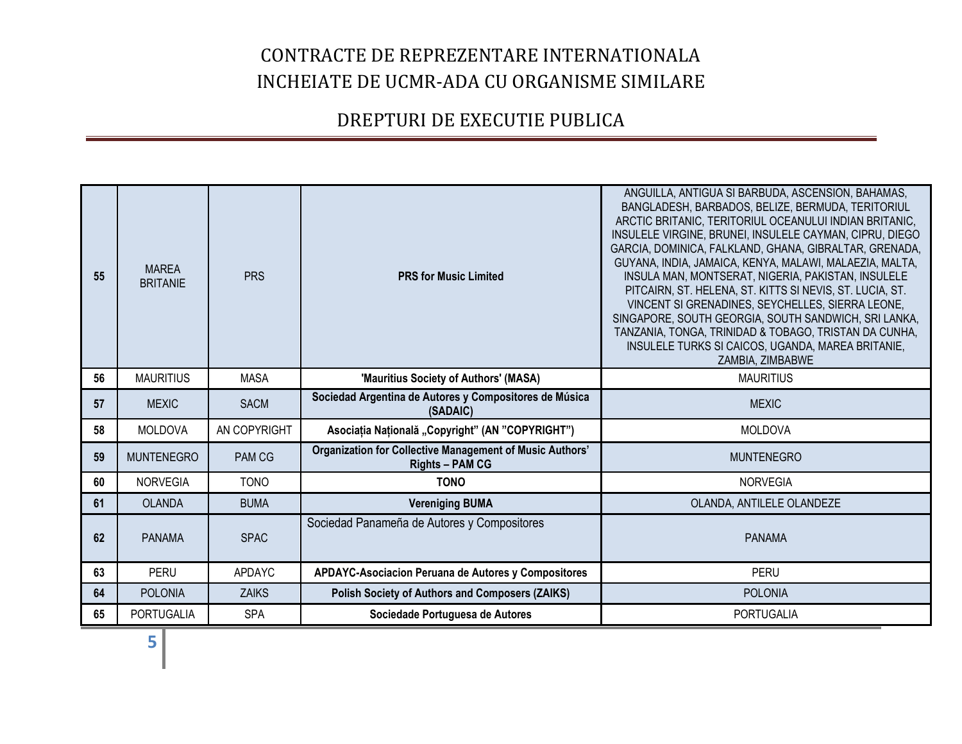| 55 | <b>MAREA</b><br><b>BRITANIE</b> | <b>PRS</b>    | <b>PRS for Music Limited</b>                                                       | ANGUILLA, ANTIGUA SI BARBUDA, ASCENSION, BAHAMAS,<br>BANGLADESH, BARBADOS, BELIZE, BERMUDA, TERITORIUL<br>ARCTIC BRITANIC, TERITORIUL OCEANULUI INDIAN BRITANIC,<br>INSULELE VIRGINE, BRUNEI, INSULELE CAYMAN, CIPRU, DIEGO<br>GARCIA, DOMINICA, FALKLAND, GHANA, GIBRALTAR, GRENADA,<br>GUYANA, INDIA, JAMAICA, KENYA, MALAWI, MALAEZIA, MALTA,<br>INSULA MAN, MONTSERAT, NIGERIA, PAKISTAN, INSULELE<br>PITCAIRN, ST. HELENA, ST. KITTS SI NEVIS, ST. LUCIA, ST.<br>VINCENT SI GRENADINES, SEYCHELLES, SIERRA LEONE,<br>SINGAPORE, SOUTH GEORGIA, SOUTH SANDWICH, SRI LANKA,<br>TANZANIA, TONGA, TRINIDAD & TOBAGO, TRISTAN DA CUNHA,<br>INSULELE TURKS SI CAICOS, UGANDA, MAREA BRITANIE,<br>ZAMBIA, ZIMBABWE |
|----|---------------------------------|---------------|------------------------------------------------------------------------------------|------------------------------------------------------------------------------------------------------------------------------------------------------------------------------------------------------------------------------------------------------------------------------------------------------------------------------------------------------------------------------------------------------------------------------------------------------------------------------------------------------------------------------------------------------------------------------------------------------------------------------------------------------------------------------------------------------------------|
| 56 | <b>MAURITIUS</b>                | MASA          | 'Mauritius Society of Authors' (MASA)                                              | <b>MAURITIUS</b>                                                                                                                                                                                                                                                                                                                                                                                                                                                                                                                                                                                                                                                                                                 |
| 57 | <b>MEXIC</b>                    | <b>SACM</b>   | Sociedad Argentina de Autores y Compositores de Música<br>(SADAIC)                 | <b>MEXIC</b>                                                                                                                                                                                                                                                                                                                                                                                                                                                                                                                                                                                                                                                                                                     |
| 58 | <b>MOLDOVA</b>                  | AN COPYRIGHT  | Asociația Națională "Copyright" (AN "COPYRIGHT")                                   | <b>MOLDOVA</b>                                                                                                                                                                                                                                                                                                                                                                                                                                                                                                                                                                                                                                                                                                   |
| 59 | <b>MUNTENEGRO</b>               | PAM CG        | Organization for Collective Management of Music Authors'<br><b>Rights - PAM CG</b> | <b>MUNTENEGRO</b>                                                                                                                                                                                                                                                                                                                                                                                                                                                                                                                                                                                                                                                                                                |
| 60 | <b>NORVEGIA</b>                 | <b>TONO</b>   | <b>TONO</b>                                                                        | <b>NORVEGIA</b>                                                                                                                                                                                                                                                                                                                                                                                                                                                                                                                                                                                                                                                                                                  |
| 61 | <b>OLANDA</b>                   | <b>BUMA</b>   | <b>Vereniging BUMA</b>                                                             | OLANDA, ANTILELE OLANDEZE                                                                                                                                                                                                                                                                                                                                                                                                                                                                                                                                                                                                                                                                                        |
| 62 | <b>PANAMA</b>                   | <b>SPAC</b>   | Sociedad Panameña de Autores y Compositores                                        | <b>PANAMA</b>                                                                                                                                                                                                                                                                                                                                                                                                                                                                                                                                                                                                                                                                                                    |
| 63 | <b>PERU</b>                     | <b>APDAYC</b> | APDAYC-Asociacion Peruana de Autores y Compositores                                | PERU                                                                                                                                                                                                                                                                                                                                                                                                                                                                                                                                                                                                                                                                                                             |
| 64 | <b>POLONIA</b>                  | <b>ZAIKS</b>  | <b>Polish Society of Authors and Composers (ZAIKS)</b>                             | <b>POLONIA</b>                                                                                                                                                                                                                                                                                                                                                                                                                                                                                                                                                                                                                                                                                                   |
| 65 | <b>PORTUGALIA</b>               | <b>SPA</b>    | Sociedade Portuguesa de Autores                                                    | PORTUGALIA                                                                                                                                                                                                                                                                                                                                                                                                                                                                                                                                                                                                                                                                                                       |